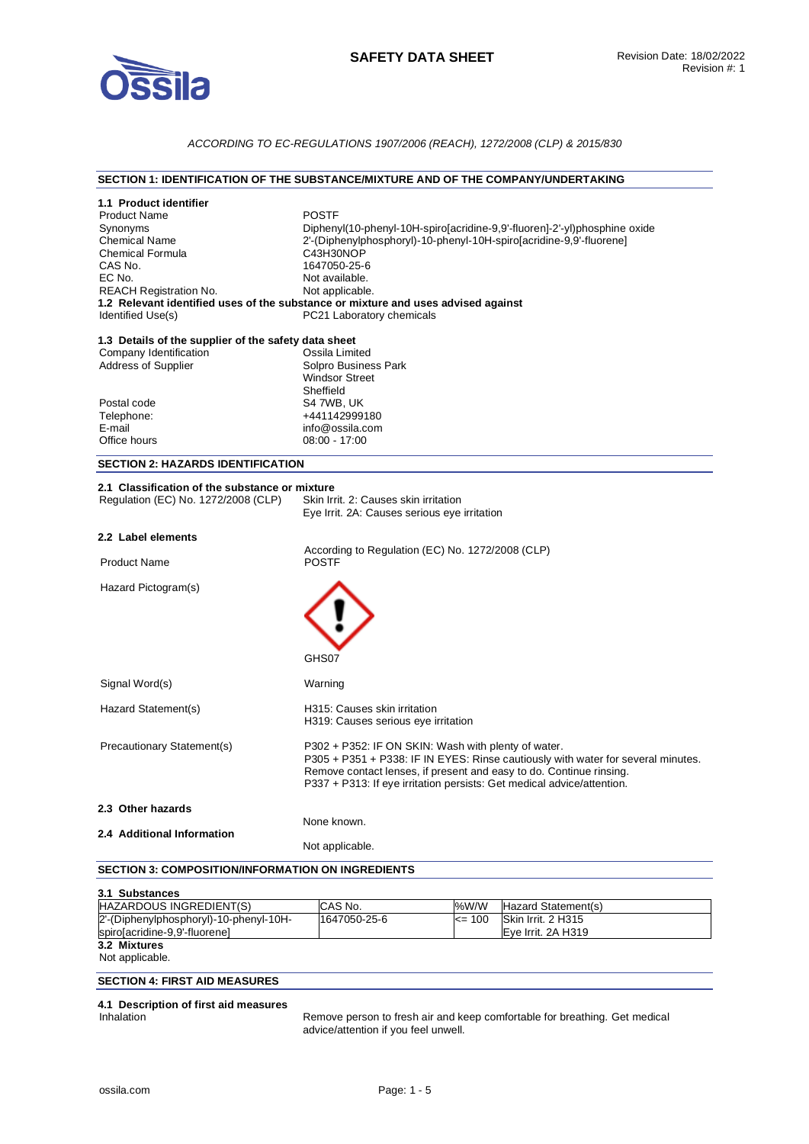

# *ACCORDING TO EC-REGULATIONS 1907/2006 (REACH), 1272/2008 (CLP) & 2015/830*

# **SECTION 1: IDENTIFICATION OF THE SUBSTANCE/MIXTURE AND OF THE COMPANY/UNDERTAKING**

| 1.1 Product identifier                               |                                                                                                                                         |
|------------------------------------------------------|-----------------------------------------------------------------------------------------------------------------------------------------|
| <b>Product Name</b>                                  | <b>POSTF</b>                                                                                                                            |
| Synonyms                                             | Diphenyl(10-phenyl-10H-spiro[acridine-9,9'-fluoren]-2'-yl)phosphine oxide                                                               |
| <b>Chemical Name</b>                                 | 2'-(Diphenylphosphoryl)-10-phenyl-10H-spiro[acridine-9,9'-fluorene]                                                                     |
| <b>Chemical Formula</b>                              | C43H30NOP                                                                                                                               |
| CAS No.                                              | 1647050-25-6                                                                                                                            |
| EC No.                                               | Not available.                                                                                                                          |
| <b>REACH Registration No.</b>                        | Not applicable.                                                                                                                         |
|                                                      | 1.2 Relevant identified uses of the substance or mixture and uses advised against                                                       |
| Identified Use(s)                                    | PC21 Laboratory chemicals                                                                                                               |
| 1.3 Details of the supplier of the safety data sheet |                                                                                                                                         |
| Company Identification                               | Ossila Limited                                                                                                                          |
| <b>Address of Supplier</b>                           | Solpro Business Park                                                                                                                    |
|                                                      | <b>Windsor Street</b>                                                                                                                   |
|                                                      | Sheffield                                                                                                                               |
| Postal code                                          | S4 7WB, UK                                                                                                                              |
| Telephone:                                           | +441142999180                                                                                                                           |
| E-mail<br>Office hours                               | info@ossila.com<br>$08:00 - 17:00$                                                                                                      |
|                                                      |                                                                                                                                         |
| <b>SECTION 2: HAZARDS IDENTIFICATION</b>             |                                                                                                                                         |
| 2.1 Classification of the substance or mixture       |                                                                                                                                         |
| Regulation (EC) No. 1272/2008 (CLP)                  | Skin Irrit. 2: Causes skin irritation                                                                                                   |
|                                                      | Eye Irrit. 2A: Causes serious eye irritation                                                                                            |
|                                                      |                                                                                                                                         |
|                                                      |                                                                                                                                         |
| 2.2 Label elements                                   |                                                                                                                                         |
|                                                      | According to Regulation (EC) No. 1272/2008 (CLP)                                                                                        |
| <b>Product Name</b>                                  | <b>POSTF</b>                                                                                                                            |
|                                                      |                                                                                                                                         |
| Hazard Pictogram(s)                                  |                                                                                                                                         |
|                                                      |                                                                                                                                         |
|                                                      |                                                                                                                                         |
|                                                      |                                                                                                                                         |
|                                                      |                                                                                                                                         |
|                                                      | GHS07                                                                                                                                   |
| Signal Word(s)                                       | Warning                                                                                                                                 |
|                                                      |                                                                                                                                         |
| Hazard Statement(s)                                  | H315: Causes skin irritation                                                                                                            |
|                                                      | H319: Causes serious eye irritation                                                                                                     |
|                                                      |                                                                                                                                         |
| Precautionary Statement(s)                           | P302 + P352: IF ON SKIN: Wash with plenty of water.<br>P305 + P351 + P338: IF IN EYES: Rinse cautiously with water for several minutes. |
|                                                      | Remove contact lenses, if present and easy to do. Continue rinsing.                                                                     |
|                                                      | P337 + P313: If eye irritation persists: Get medical advice/attention.                                                                  |
|                                                      |                                                                                                                                         |
| 2.3 Other hazards                                    |                                                                                                                                         |
|                                                      | None known.                                                                                                                             |
| 2.4 Additional Information                           | Not applicable.                                                                                                                         |

# **SECTION 3: COMPOSITION/INFORMATION ON INGREDIENTS**

| 3.1 Substances                         |              |            |                     |
|----------------------------------------|--------------|------------|---------------------|
| HAZARDOUS INGREDIENT(S)                | CAS No.      | %W/W       | Hazard Statement(s) |
| 2'-(Diphenylphosphoryl)-10-phenyl-10H- | 1647050-25-6 | $\leq$ 100 | Skin Irrit. 2 H315  |
| spiro[acridine-9,9'-fluorene]          |              |            | Eve Irrit. 2A H319  |
| 3.2 Mixtures                           |              |            |                     |
| Not applicable.                        |              |            |                     |

# **SECTION 4: FIRST AID MEASURES**

**4.1 Description of first aid measures** 

Remove person to fresh air and keep comfortable for breathing. Get medical advice/attention if you feel unwell.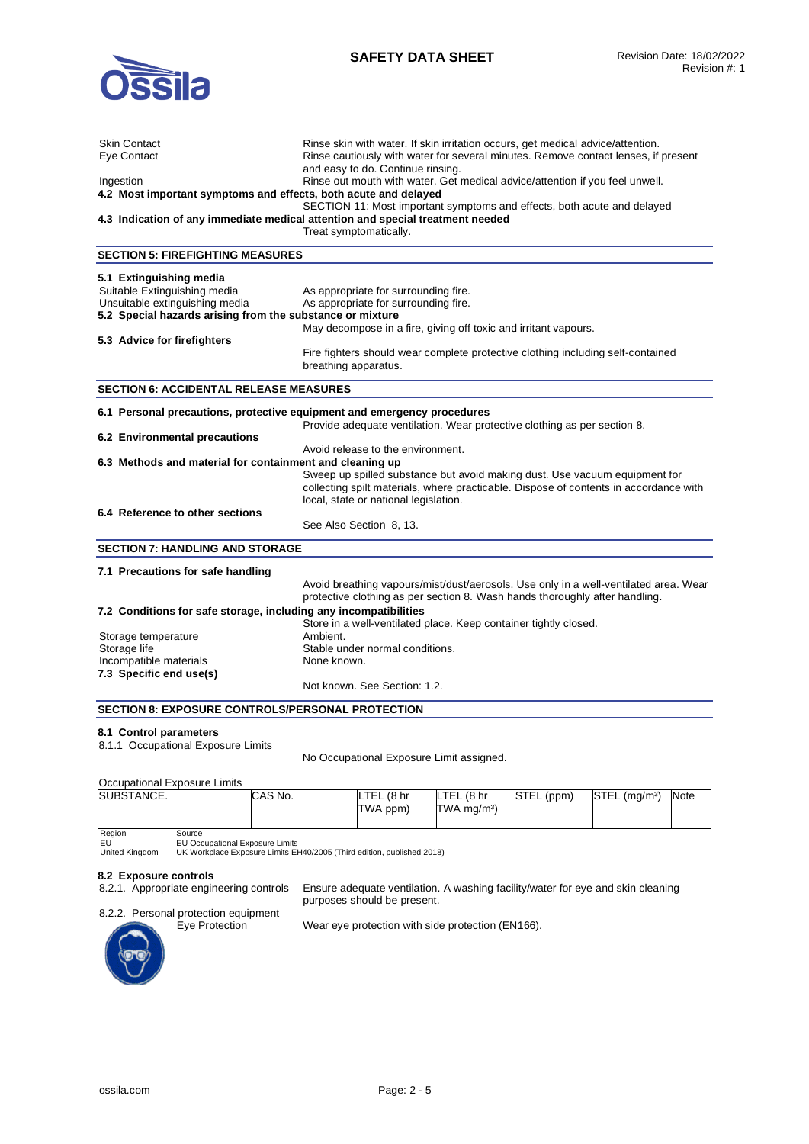

| Skin Contact                                                            | Rinse skin with water. If skin irritation occurs, get medical advice/attention.                                         |
|-------------------------------------------------------------------------|-------------------------------------------------------------------------------------------------------------------------|
| Eye Contact                                                             | Rinse cautiously with water for several minutes. Remove contact lenses, if present<br>and easy to do. Continue rinsing. |
| Ingestion                                                               | Rinse out mouth with water. Get medical advice/attention if you feel unwell.                                            |
| 4.2 Most important symptoms and effects, both acute and delayed         |                                                                                                                         |
|                                                                         | SECTION 11: Most important symptoms and effects, both acute and delayed                                                 |
|                                                                         | 4.3 Indication of any immediate medical attention and special treatment needed                                          |
|                                                                         | Treat symptomatically.                                                                                                  |
| <b>SECTION 5: FIREFIGHTING MEASURES</b>                                 |                                                                                                                         |
| 5.1 Extinguishing media                                                 |                                                                                                                         |
| Suitable Extinguishing media                                            | As appropriate for surrounding fire.                                                                                    |
| Unsuitable extinguishing media                                          | As appropriate for surrounding fire.                                                                                    |
| 5.2 Special hazards arising from the substance or mixture               |                                                                                                                         |
|                                                                         | May decompose in a fire, giving off toxic and irritant vapours.                                                         |
| 5.3 Advice for firefighters                                             |                                                                                                                         |
|                                                                         | Fire fighters should wear complete protective clothing including self-contained                                         |
|                                                                         | breathing apparatus.                                                                                                    |
| <b>SECTION 6: ACCIDENTAL RELEASE MEASURES</b>                           |                                                                                                                         |
| 6.1 Personal precautions, protective equipment and emergency procedures |                                                                                                                         |
|                                                                         | Provide adequate ventilation. Wear protective clothing as per section 8.                                                |
| 6.2 Environmental precautions                                           |                                                                                                                         |
|                                                                         | Avoid release to the environment.                                                                                       |
| 6.3 Methods and material for containment and cleaning up                |                                                                                                                         |
|                                                                         | Sweep up spilled substance but avoid making dust. Use vacuum equipment for                                              |
|                                                                         | collecting spilt materials, where practicable. Dispose of contents in accordance with                                   |
|                                                                         | local, state or national legislation.                                                                                   |
| 6.4 Reference to other sections                                         |                                                                                                                         |
|                                                                         | See Also Section 8, 13.                                                                                                 |
| <b>SECTION 7: HANDLING AND STORAGE</b>                                  |                                                                                                                         |
| 7.1 Precautions for safe handling                                       |                                                                                                                         |
|                                                                         | Avoid breathing vapours/mist/dust/aerosols. Use only in a well-ventilated area. Wear                                    |
|                                                                         | protective clothing as per section 8. Wash hands thoroughly after handling.                                             |
| 7.2 Conditions for safe storage, including any incompatibilities        |                                                                                                                         |
|                                                                         | Store in a well-ventilated place. Keep container tightly closed.                                                        |
| Storage temperature                                                     | Ambient.                                                                                                                |
| Storage life                                                            | Stable under normal conditions.                                                                                         |
| Incompatible materials                                                  | None known.                                                                                                             |
| 7.3 Specific end use(s)                                                 |                                                                                                                         |
|                                                                         | Not known. See Section: 1.2.                                                                                            |
| <b>SECTION 8: EXPOSURE CONTROLS/PERSONAL PROTECTION</b>                 |                                                                                                                         |

### **8.1 Control parameters**

8.1.1 Occupational Exposure Limits

No Occupational Exposure Limit assigned.

# Occupational Exposure Limits

| SUBSTANCE. |        | CAS No. | <b>LTEL</b><br>48 hr<br>TWA ppm) | LTEL (8 hr<br>TWA mg/m <sup>3</sup> ) | STEL (ppm) | <b>STEL</b><br>. (ma/m <sup>3)</sup> | Note |
|------------|--------|---------|----------------------------------|---------------------------------------|------------|--------------------------------------|------|
|            |        |         |                                  |                                       |            |                                      |      |
| Region     | Source |         |                                  |                                       |            |                                      |      |

Region EU United Kingdom

Source EU Occupational Exposure Limits UK Workplace Exposure Limits EH40/2005 (Third edition, published 2018)

8.2 Exposure controls<br>8.2.1. Appropriate engineering controls

Ensure adequate ventilation. A washing facility/water for eye and skin cleaning purposes should be present.

# 8.2.2. Personal protection equipment<br>Eye Protection



Wear eye protection with side protection (EN166).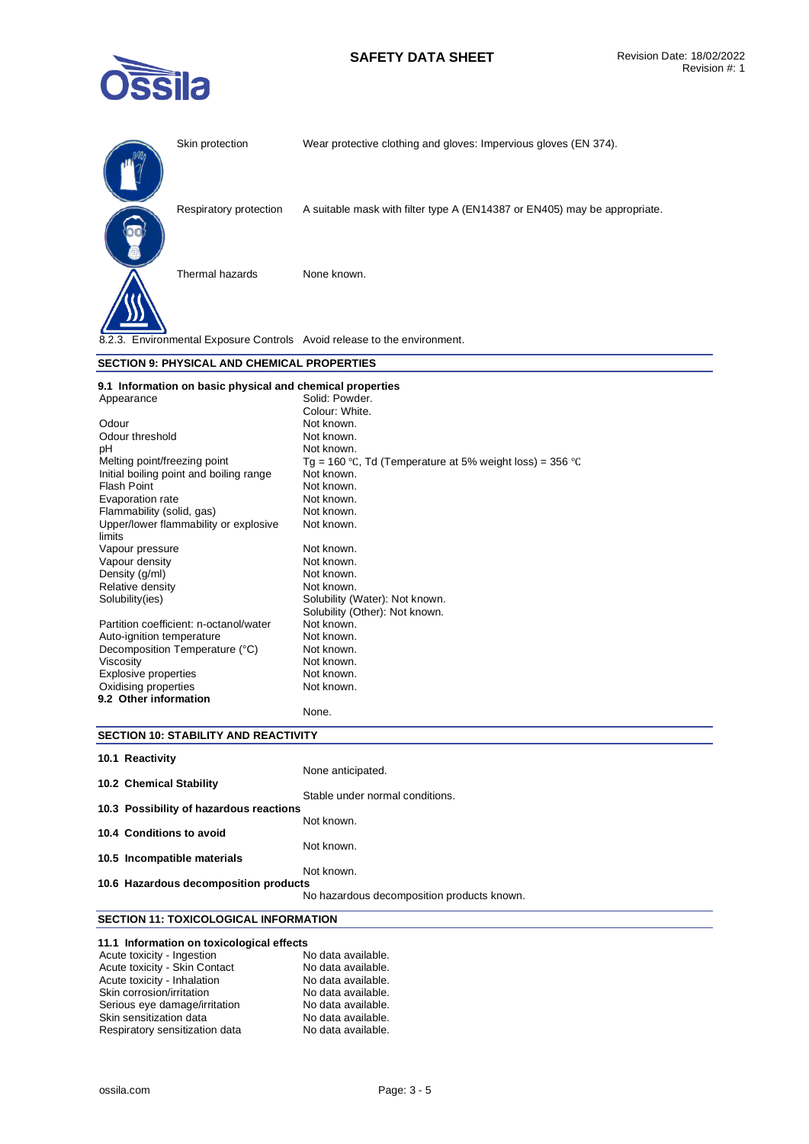# **SAFETY DATA SHEET** Revision Date: 18/02/2022



|                                                           | Skin protection                             | Wear protective clothing and gloves: Impervious gloves (EN 374).          |
|-----------------------------------------------------------|---------------------------------------------|---------------------------------------------------------------------------|
|                                                           | Respiratory protection                      | A suitable mask with filter type A (EN14387 or EN405) may be appropriate. |
|                                                           | Thermal hazards                             | None known.                                                               |
|                                                           |                                             | 8.2.3. Environmental Exposure Controls Avoid release to the environment.  |
|                                                           | SECTION 9: PHYSICAL AND CHEMICAL PROPERTIES |                                                                           |
| 9.1 Information on basic physical and chemical properties |                                             |                                                                           |

| Appearance                              | Solid: Powder.                                           |
|-----------------------------------------|----------------------------------------------------------|
|                                         | Colour: White.                                           |
| Odour                                   | Not known.                                               |
| Odour threshold                         | Not known.                                               |
| рH                                      | Not known.                                               |
| Melting point/freezing point            | Tg = 160 °C, Td (Temperature at 5% weight loss) = 356 °C |
| Initial boiling point and boiling range | Not known.                                               |
| <b>Flash Point</b>                      | Not known.                                               |
| Evaporation rate                        | Not known.                                               |
| Flammability (solid, gas)               | Not known.                                               |
| Upper/lower flammability or explosive   | Not known.                                               |
| limits                                  |                                                          |
| Vapour pressure                         | Not known.                                               |
| Vapour density                          | Not known.                                               |
| Density (g/ml)                          | Not known.                                               |
| Relative density                        | Not known.                                               |
| Solubility (ies)                        | Solubility (Water): Not known.                           |
|                                         | Solubility (Other): Not known.                           |
| Partition coefficient: n-octanol/water  | Not known.                                               |
| Auto-ignition temperature               | Not known.                                               |
| Decomposition Temperature (°C)          | Not known.                                               |
| Viscosity                               | Not known.                                               |
| Explosive properties                    | Not known.                                               |
| Oxidising properties                    | Not known.                                               |
| 9.2 Other information                   |                                                          |
|                                         | None.                                                    |

# **SECTION 10: STABILITY AND REACTIVITY**

| 10.1 Reactivity                         |                                            |
|-----------------------------------------|--------------------------------------------|
| 10.2 Chemical Stability                 | None anticipated.                          |
|                                         | Stable under normal conditions.            |
| 10.3 Possibility of hazardous reactions |                                            |
|                                         | Not known.                                 |
| 10.4 Conditions to avoid                |                                            |
|                                         | Not known.                                 |
| 10.5 Incompatible materials             |                                            |
|                                         | Not known.                                 |
| 10.6 Hazardous decomposition products   |                                            |
|                                         | No hazardous decomposition products known. |
|                                         |                                            |

# **SECTION 11: TOXICOLOGICAL INFORMATION**

| 11.1 Information on toxicological effects |                    |
|-------------------------------------------|--------------------|
| Acute toxicity - Ingestion                | No data available. |
| Acute toxicity - Skin Contact             | No data available. |
| Acute toxicity - Inhalation               | No data available. |
| Skin corrosion/irritation                 | No data available. |
| Serious eye damage/irritation             | No data available. |
| Skin sensitization data                   | No data available. |
| Respiratory sensitization data            | No data available. |

Respiratory sensitization data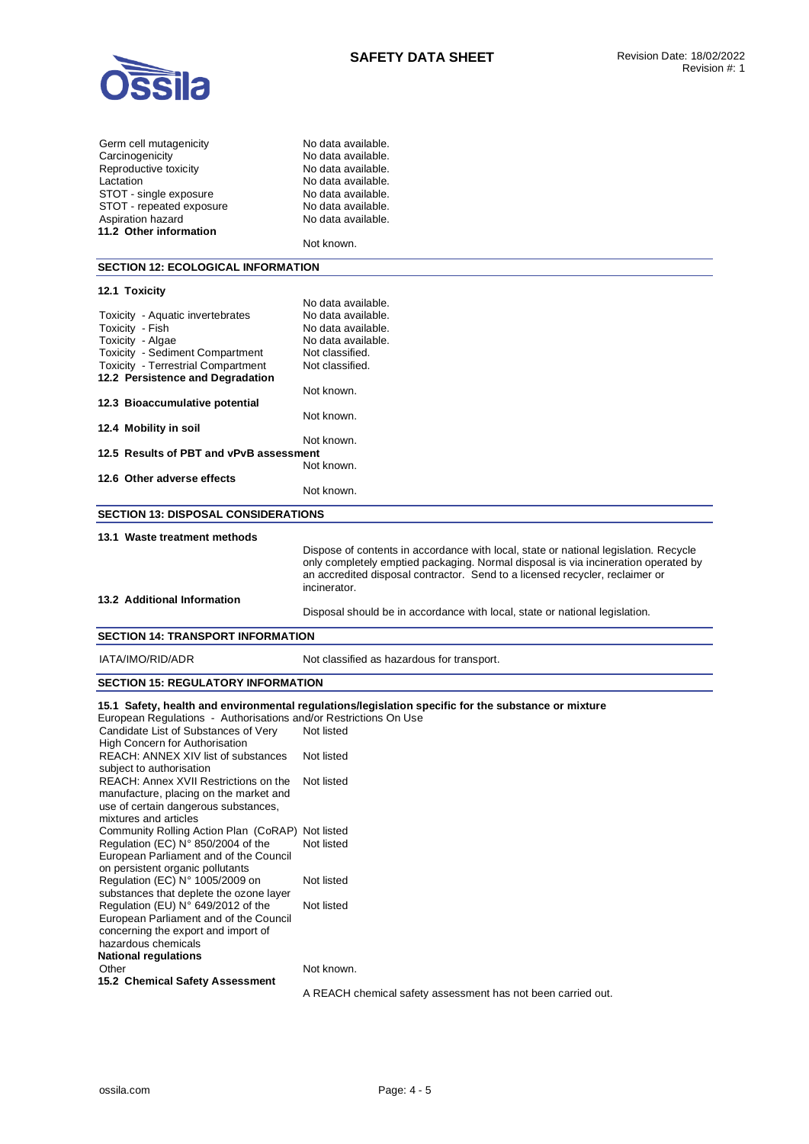

| Germ cell mutagenicity   |
|--------------------------|
| Carcinogenicity          |
| Reproductive toxicity    |
| Lactation                |
| STOT - single exposure   |
| STOT - repeated exposure |
| Aspiration hazard        |
| 11.2 Other information   |

No data available. No data available. No data available. No data available. No data available. No data available. No data available.

Not known.

#### **SECTION 12: ECOLOGICAL INFORMATION**

### **12.1 Toxicity**  No data available. Toxicity - Aquatic invertebrates No data available.<br>Toxicity - Fish No data available. Toxicity - Fish No data available.<br>Toxicity - Algae No data available. Toxicity - Algae **No data available.**<br>Toxicity - Sediment Compartment Not classified. Toxicity - Sediment Compartment Not classified.<br>
Toxicity - Terrestrial Compartment Not classified. Toxicity - Terrestrial Compartment **12.2 Persistence and Degradation**  Not known. **12.3 Bioaccumulative potential**  Not known. **12.4 Mobility in soil**  Not known. **12.5 Results of PBT and vPvB assessment**  Not known. **12.6 Other adverse effects**  Not known. **SECTION 13: DISPOSAL CONSIDERATIONS 13.1 Waste treatment methods**  Dispose of contents in accordance with local, state or national legislation. Recycle only completely emptied packaging. Normal disposal is via incineration operated by an accredited disposal contractor. Send to a licensed recycler, reclaimer or incinerator. **13.2 Additional Information**

#### Disposal should be in accordance with local, state or national legislation.

# **SECTION 14: TRANSPORT INFORMATION**

IATA/IMO/RID/ADR Not classified as hazardous for transport.

#### **SECTION 15: REGULATORY INFORMATION**

# **15.1 Safety, health and environmental regulations/legislation specific for the substance or mixture**

European Regulations - Authorisations and/or Restrictions On Use Candidate List of Substances of Very High Concern for Authorisation Not listed REACH: ANNEX XIV list of substances subject to authorisation Not listed REACH: Annex XVII Restrictions on the manufacture, placing on the market and use of certain dangerous substances, mixtures and articles Not listed Community Rolling Action Plan (CoRAP) Not listed Regulation (EC) N° 850/2004 of the European Parliament and of the Council on persistent organic pollutants Not listed Regulation (EC) N° 1005/2009 on substances that deplete the ozone layer Not listed Regulation (EU) N° 649/2012 of the European Parliament and of the Council concerning the export and import of hazardous chemicals Not listed **National regulations**  Other Not known. **15.2 Chemical Safety Assessment**  A REACH chemical safety assessment has not been carried out.